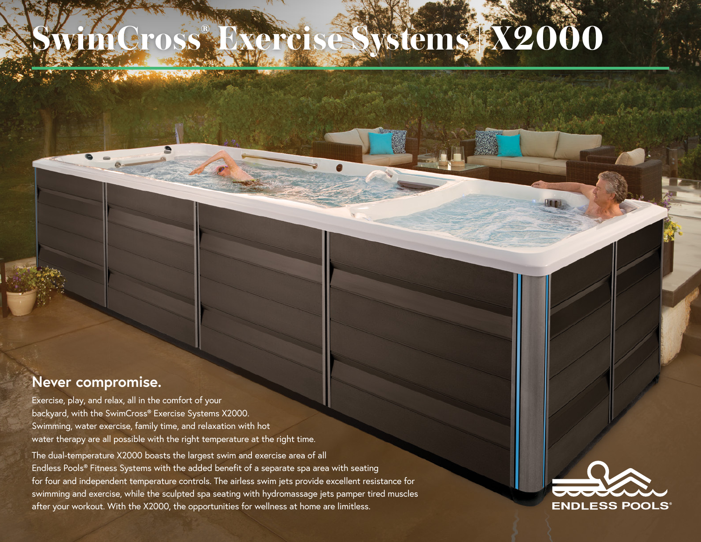## Cross® *ystems* **X2000**

## **Never compromise.**

Exercise, play, and relax, all in the comfort of your backyard, with the SwimCross® Exercise Systems X2000. Swimming, water exercise, family time, and relaxation with hot water therapy are all possible with the right temperature at the right time.

The dual-temperature X2000 boasts the largest swim and exercise area of all Endless Pools® Fitness Systems with the added benefit of a separate spa area with seating for four and independent temperature controls. The airless swim jets provide excellent resistance for swimming and exercise, while the sculpted spa seating with hydromassage jets pamper tired muscles after your workout. With the X2000, the opportunities for wellness at home are limitless.